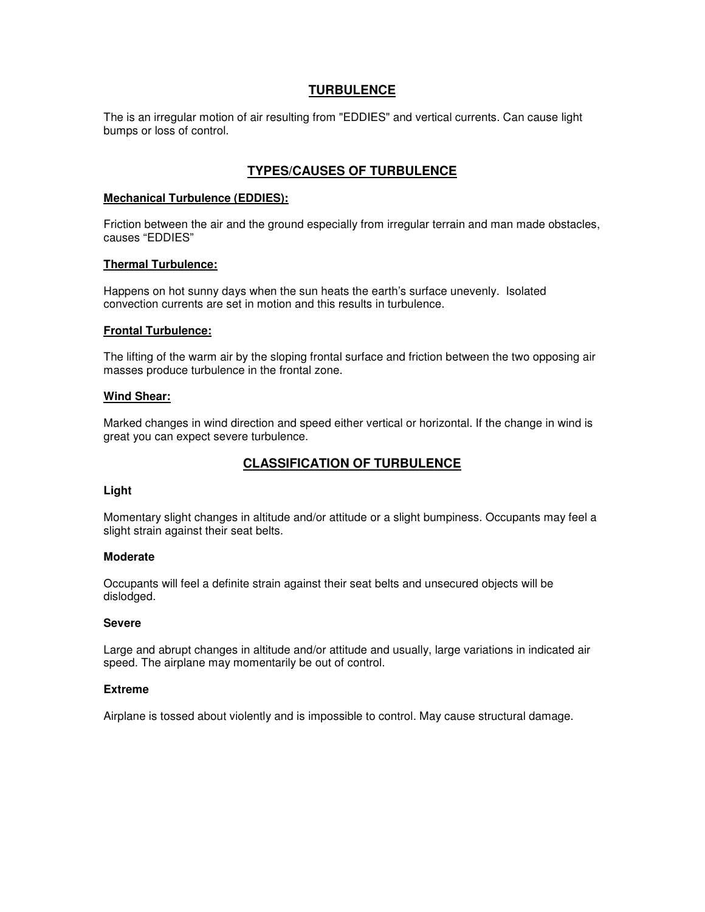## **TURBULENCE**

The is an irregular motion of air resulting from "EDDIES" and vertical currents. Can cause light bumps or loss of control.

# **TYPES/CAUSES OF TURBULENCE**

#### **Mechanical Turbulence (EDDIES):**

Friction between the air and the ground especially from irregular terrain and man made obstacles, causes "EDDIES"

### **Thermal Turbulence:**

Happens on hot sunny days when the sun heats the earth's surface unevenly. Isolated convection currents are set in motion and this results in turbulence.

### **Frontal Turbulence:**

The lifting of the warm air by the sloping frontal surface and friction between the two opposing air masses produce turbulence in the frontal zone.

### **Wind Shear:**

Marked changes in wind direction and speed either vertical or horizontal. If the change in wind is great you can expect severe turbulence.

# **CLASSIFICATION OF TURBULENCE**

#### **Light**

Momentary slight changes in altitude and/or attitude or a slight bumpiness. Occupants may feel a slight strain against their seat belts.

#### **Moderate**

Occupants will feel a definite strain against their seat belts and unsecured objects will be dislodged.

#### **Severe**

Large and abrupt changes in altitude and/or attitude and usually, large variations in indicated air speed. The airplane may momentarily be out of control.

#### **Extreme**

Airplane is tossed about violently and is impossible to control. May cause structural damage.